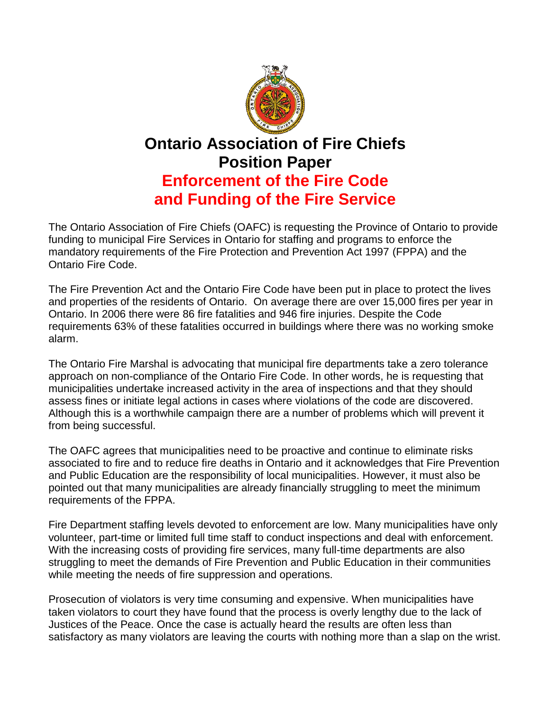

## **Ontario Association of Fire Chiefs Position Paper Enforcement of the Fire Code and Funding of the Fire Service**

The Ontario Association of Fire Chiefs (OAFC) is requesting the Province of Ontario to provide funding to municipal Fire Services in Ontario for staffing and programs to enforce the mandatory requirements of the Fire Protection and Prevention Act 1997 (FPPA) and the Ontario Fire Code.

The Fire Prevention Act and the Ontario Fire Code have been put in place to protect the lives and properties of the residents of Ontario. On average there are over 15,000 fires per year in Ontario. In 2006 there were 86 fire fatalities and 946 fire injuries. Despite the Code requirements 63% of these fatalities occurred in buildings where there was no working smoke alarm.

The Ontario Fire Marshal is advocating that municipal fire departments take a zero tolerance approach on non-compliance of the Ontario Fire Code. In other words, he is requesting that municipalities undertake increased activity in the area of inspections and that they should assess fines or initiate legal actions in cases where violations of the code are discovered. Although this is a worthwhile campaign there are a number of problems which will prevent it from being successful.

The OAFC agrees that municipalities need to be proactive and continue to eliminate risks associated to fire and to reduce fire deaths in Ontario and it acknowledges that Fire Prevention and Public Education are the responsibility of local municipalities. However, it must also be pointed out that many municipalities are already financially struggling to meet the minimum requirements of the FPPA.

Fire Department staffing levels devoted to enforcement are low. Many municipalities have only volunteer, part-time or limited full time staff to conduct inspections and deal with enforcement. With the increasing costs of providing fire services, many full-time departments are also struggling to meet the demands of Fire Prevention and Public Education in their communities while meeting the needs of fire suppression and operations.

Prosecution of violators is very time consuming and expensive. When municipalities have taken violators to court they have found that the process is overly lengthy due to the lack of Justices of the Peace. Once the case is actually heard the results are often less than satisfactory as many violators are leaving the courts with nothing more than a slap on the wrist.